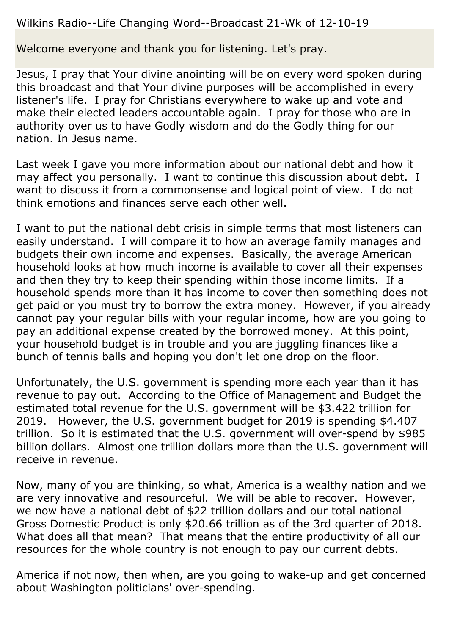### Wilkins Radio--Life Changing Word--Broadcast 21-Wk of 12-10-19

Welcome everyone and thank you for listening. Let's pray.

Jesus, I pray that Your divine anointing will be on every word spoken during this broadcast and that Your divine purposes will be accomplished in every listener's life. I pray for Christians everywhere to wake up and vote and make their elected leaders accountable again. I pray for those who are in authority over us to have Godly wisdom and do the Godly thing for our nation. In Jesus name.

Last week I gave you more information about our national debt and how it may affect you personally. I want to continue this discussion about debt. I want to discuss it from a commonsense and logical point of view. I do not think emotions and finances serve each other well.

I want to put the national debt crisis in simple terms that most listeners can easily understand. I will compare it to how an average family manages and budgets their own income and expenses. Basically, the average American household looks at how much income is available to cover all their expenses and then they try to keep their spending within those income limits. If a household spends more than it has income to cover then something does not get paid or you must try to borrow the extra money. However, if you already cannot pay your regular bills with your regular income, how are you going to pay an additional expense created by the borrowed money. At this point, your household budget is in trouble and you are juggling finances like a bunch of tennis balls and hoping you don't let one drop on the floor.

Unfortunately, the U.S. government is spending more each year than it has revenue to pay out. According to the Office of Management and Budget the estimated total revenue for the U.S. government will be \$3.422 trillion for 2019. However, the U.S. government budget for 2019 is spending \$4.407 trillion. So it is estimated that the U.S. government will over-spend by \$985 billion dollars. Almost one trillion dollars more than the U.S. government will receive in revenue.

Now, many of you are thinking, so what, America is a wealthy nation and we are very innovative and resourceful. We will be able to recover. However, we now have a national debt of \$22 trillion dollars and our total national Gross Domestic Product is only \$20.66 trillion as of the 3rd quarter of 2018. What does all that mean? That means that the entire productivity of all our resources for the whole country is not enough to pay our current debts.

America if not now, then when, are you going to wake-up and get concerned about Washington politicians' over-spending.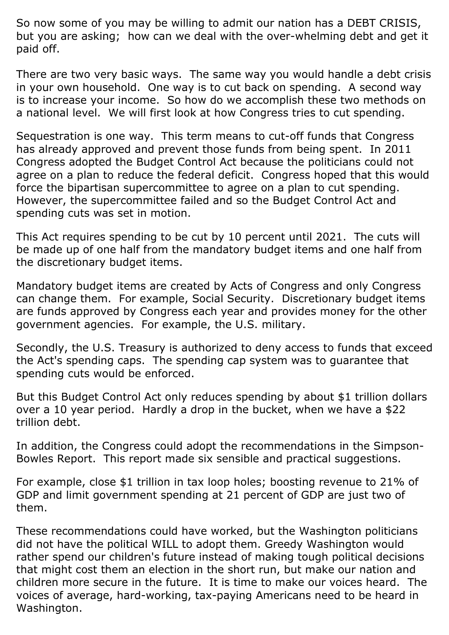So now some of you may be willing to admit our nation has a DEBT CRISIS, but you are asking; how can we deal with the over-whelming debt and get it paid off.

There are two very basic ways. The same way you would handle a debt crisis in your own household. One way is to cut back on spending. A second way is to increase your income. So how do we accomplish these two methods on a national level. We will first look at how Congress tries to cut spending.

Sequestration is one way. This term means to cut-off funds that Congress has already approved and prevent those funds from being spent. In 2011 Congress adopted the Budget Control Act because the politicians could not agree on a plan to reduce the federal deficit. Congress hoped that this would force the bipartisan supercommittee to agree on a plan to cut spending. However, the supercommittee failed and so the Budget Control Act and spending cuts was set in motion.

This Act requires spending to be cut by 10 percent until 2021. The cuts will be made up of one half from the mandatory budget items and one half from the discretionary budget items.

Mandatory budget items are created by Acts of Congress and only Congress can change them. For example, Social Security. Discretionary budget items are funds approved by Congress each year and provides money for the other government agencies. For example, the U.S. military.

Secondly, the U.S. Treasury is authorized to deny access to funds that exceed the Act's spending caps. The spending cap system was to guarantee that spending cuts would be enforced.

But this Budget Control Act only reduces spending by about \$1 trillion dollars over a 10 year period. Hardly a drop in the bucket, when we have a \$22 trillion debt.

In addition, the Congress could adopt the recommendations in the Simpson-Bowles Report. This report made six sensible and practical suggestions.

For example, close \$1 trillion in tax loop holes; boosting revenue to 21% of GDP and limit government spending at 21 percent of GDP are just two of them.

These recommendations could have worked, but the Washington politicians did not have the political WILL to adopt them. Greedy Washington would rather spend our children's future instead of making tough political decisions that might cost them an election in the short run, but make our nation and children more secure in the future. It is time to make our voices heard. The voices of average, hard-working, tax-paying Americans need to be heard in Washington.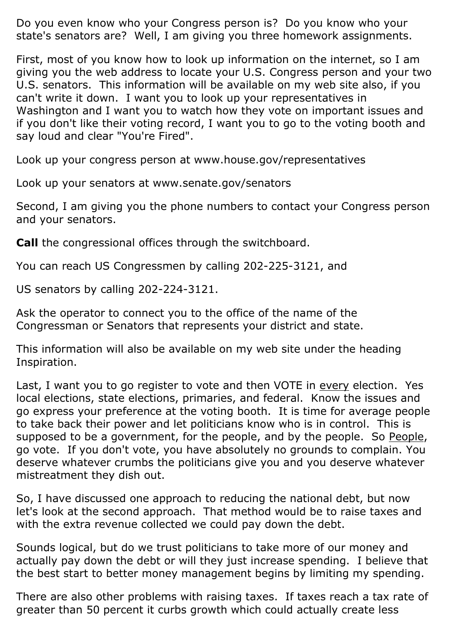Do you even know who your Congress person is? Do you know who your state's senators are? Well, I am giving you three homework assignments.

First, most of you know how to look up information on the internet, so I am giving you the web address to locate your U.S. Congress person and your two U.S. senators. This information will be available on my web site also, if you can't write it down. I want you to look up your representatives in Washington and I want you to watch how they vote on important issues and if you don't like their voting record, I want you to go to the voting booth and say loud and clear "You're Fired".

Look up your congress person at www.house.gov/representatives

Look up your senators at www.senate.gov/senators

Second, I am giving you the phone numbers to contact your Congress person and your senators.

**Call** the congressional offices through the switchboard.

You can reach US Congressmen by calling 202-225-3121, and

US senators by calling 202-224-3121.

Ask the operator to connect you to the office of the name of the Congressman or Senators that represents your district and state.

This information will also be available on my web site under the heading Inspiration.

Last, I want you to go register to vote and then VOTE in every election. Yes local elections, state elections, primaries, and federal. Know the issues and go express your preference at the voting booth. It is time for average people to take back their power and let politicians know who is in control. This is supposed to be a government, for the people, and by the people. So People, go vote. If you don't vote, you have absolutely no grounds to complain. You deserve whatever crumbs the politicians give you and you deserve whatever mistreatment they dish out.

So, I have discussed one approach to reducing the national debt, but now let's look at the second approach. That method would be to raise taxes and with the extra revenue collected we could pay down the debt.

Sounds logical, but do we trust politicians to take more of our money and actually pay down the debt or will they just increase spending. I believe that the best start to better money management begins by limiting my spending.

There are also other problems with raising taxes. If taxes reach a tax rate of greater than 50 percent it curbs growth which could actually create less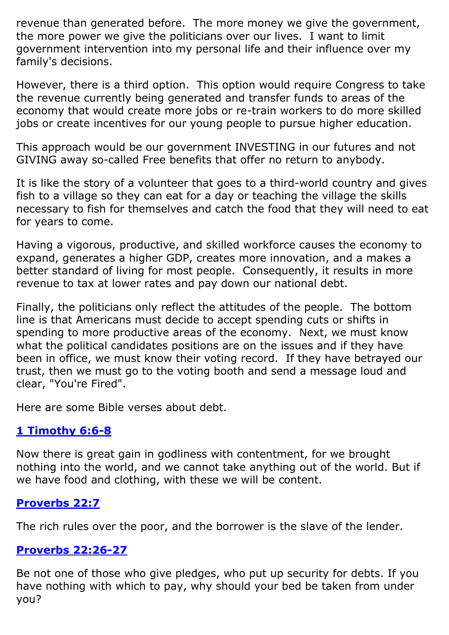revenue than generated before. The more money we give the government, the more power we give the politicians over our lives. I want to limit government intervention into my personal life and their influence over my family's decisions.

However, there is a third option. This option would require Congress to take the revenue currently being generated and transfer funds to areas of the economy that would create more jobs or re-train workers to do more skilled jobs or create incentives for our young people to pursue higher education.

This approach would be our government INVESTING in our futures and not GIVING away so-called Free benefits that offer no return to anybody.

It is like the story of a volunteer that goes to a third-world country and gives fish to a village so they can eat for a day or teaching the village the skills necessary to fish for themselves and catch the food that they will need to eat for years to come.

Having a vigorous, productive, and skilled workforce causes the economy to expand, generates a higher GDP, creates more innovation, and a makes a better standard of living for most people. Consequently, it results in more revenue to tax at lower rates and pay down our national debt.

Finally, the politicians only reflect the attitudes of the people. The bottom line is that Americans must decide to accept spending cuts or shifts in spending to more productive areas of the economy. Next, we must know what the political candidates positions are on the issues and if they have been in office, we must know their voting record. If they have betrayed our trust, then we must go to the voting booth and send a message loud and clear, "You're Fired".

Here are some Bible verses about debt.

# **[1 Timothy 6:6-8](https://www.biblegateway.com/passage/?search=1+Timothy+6%3A6-8&version=ESV)**

Now there is great gain in godliness with contentment, for we brought nothing into the world, and we cannot take anything out of the world. But if we have food and clothing, with these we will be content.

### **[Proverbs 22:7](https://www.biblegateway.com/passage/?search=Proverbs+22%3A7&version=ESV)**

The rich rules over the poor, and the borrower is the slave of the lender.

### **[Proverbs 22:26-27](https://www.biblegateway.com/passage/?search=Proverbs+22%3A26-27&version=ESV)**

Be not one of those who give pledges, who put up security for debts. If you have nothing with which to pay, why should your bed be taken from under you?